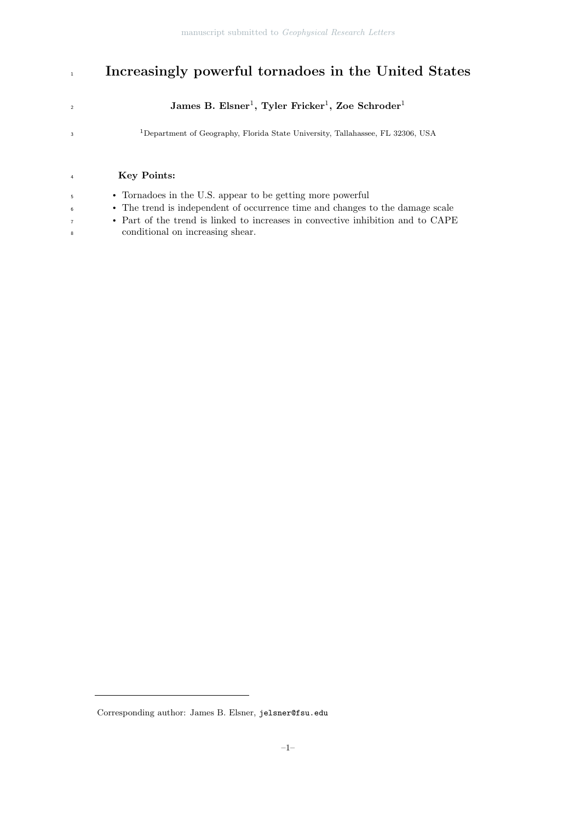# 1 Increasingly powerful tornadoes in the United States

 ${\rm James~B.~Elsner^1,~Tyler~Fricker^1,~Zoe~Schroder^1}$ 

Department of Geography, Florida State University, Tallahassee, FL 32306, USA

# Key Points:

- Tornadoes in the U.S. appear to be getting more powerful
- The trend is independent of occurrence time and changes to the damage scale
- Part of the trend is linked to increases in convective inhibition and to CAPE conditional on increasing shear.

Corresponding author: James B. Elsner, jelsner@fsu.edu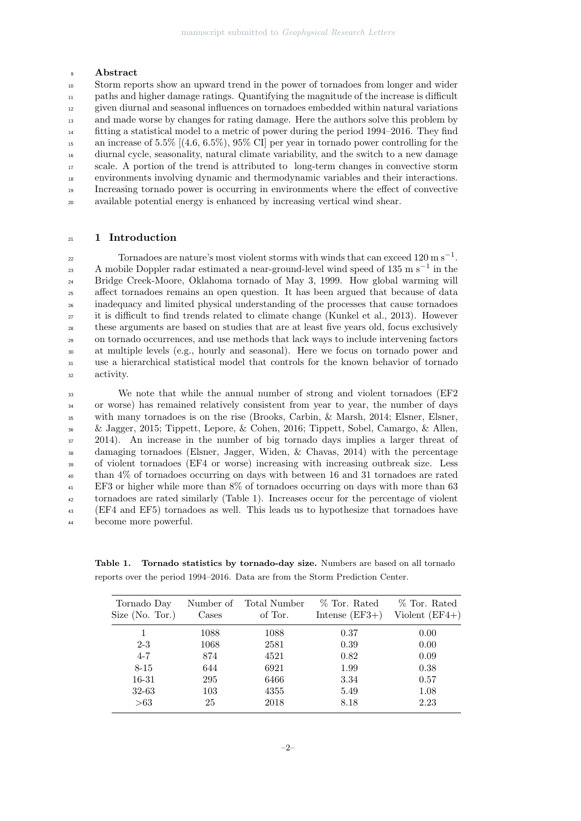#### Abstract

 Storm reports show an upward trend in the power of tornadoes from longer and wider paths and higher damage ratings. Quantifying the magnitude of the increase is difficult given diurnal and seasonal influences on tornadoes embedded within natural variations and made worse by changes for rating damage. Here the authors solve this problem by fitting a statistical model to a metric of power during the period 1994–2016. They find an increase of 5.5% [(4.6, 6.5%), 95% CI] per year in tornado power controlling for the diurnal cycle, seasonality, natural climate variability, and the switch to a new damage scale. A portion of the trend is attributed to long-term changes in convective storm environments involving dynamic and thermodynamic variables and their interactions. Increasing tornado power is occurring in environments where the effect of convective available potential energy is enhanced by increasing vertical wind shear.

# 1 Introduction

 $\mu$ <sub>22</sub> Tornadoes are nature's most violent storms with winds that can exceed 120 m s<sup>-1</sup>. <sup>23</sup> A mobile Doppler radar estimated a near-ground-level wind speed of 135 m s<sup>-1</sup> in the Bridge Creek-Moore, Oklahoma tornado of May 3, 1999. How global warming will affect tornadoes remains an open question. It has been argued that because of data inadequacy and limited physical understanding of the processes that cause tornadoes it is difficult to find trends related to climate change (Kunkel et al., 2013). However these arguments are based on studies that are at least five years old, focus exclusively on tornado occurrences, and use methods that lack ways to include intervening factors at multiple levels (e.g., hourly and seasonal). Here we focus on tornado power and use a hierarchical statistical model that controls for the known behavior of tornado activity.

 We note that while the annual number of strong and violent tornadoes (EF2 or worse) has remained relatively consistent from year to year, the number of days with many tornadoes is on the rise (Brooks, Carbin, & Marsh, 2014; Elsner, Elsner, & Jagger, 2015; Tippett, Lepore, & Cohen, 2016; Tippett, Sobel, Camargo, & Allen, 2014). An increase in the number of big tornado days implies a larger threat of damaging tornadoes (Elsner, Jagger, Widen, & Chavas, 2014) with the percentage of violent tornadoes (EF4 or worse) increasing with increasing outbreak size. Less than 4% of tornadoes occurring on days with between 16 and 31 tornadoes are rated EF3 or higher while more than 8% of tornadoes occurring on days with more than 63 tornadoes are rated similarly (Table 1). Increases occur for the percentage of violent (EF4 and EF5) tornadoes as well. This leads us to hypothesize that tornadoes have become more powerful.

Table 1. Tornado statistics by tornado-day size. Numbers are based on all tornado reports over the period 1994–2016. Data are from the Storm Prediction Center.

| Tornado Day<br>Size (No. Tor.) | Number of<br>Cases | Total Number<br>of Tor. | % Tor. Rated<br>Intense $(EF3+)$ | % Tor. Rated<br>Violent $(EF4+)$ |
|--------------------------------|--------------------|-------------------------|----------------------------------|----------------------------------|
| 1                              | 1088               | 1088                    | 0.37                             | 0.00                             |
| $2 - 3$                        | 1068               | 2581                    | 0.39                             | 0.00                             |
| $4 - 7$                        | 874                | 4521                    | 0.82                             | 0.09                             |
| $8 - 15$                       | 644                | 6921                    | 1.99                             | 0.38                             |
| 16-31                          | 295                | 6466                    | 3.34                             | 0.57                             |
| $32-63$                        | 103                | 4355                    | 5.49                             | 1.08                             |
| >63                            | 25                 | 2018                    | 8.18                             | 2.23                             |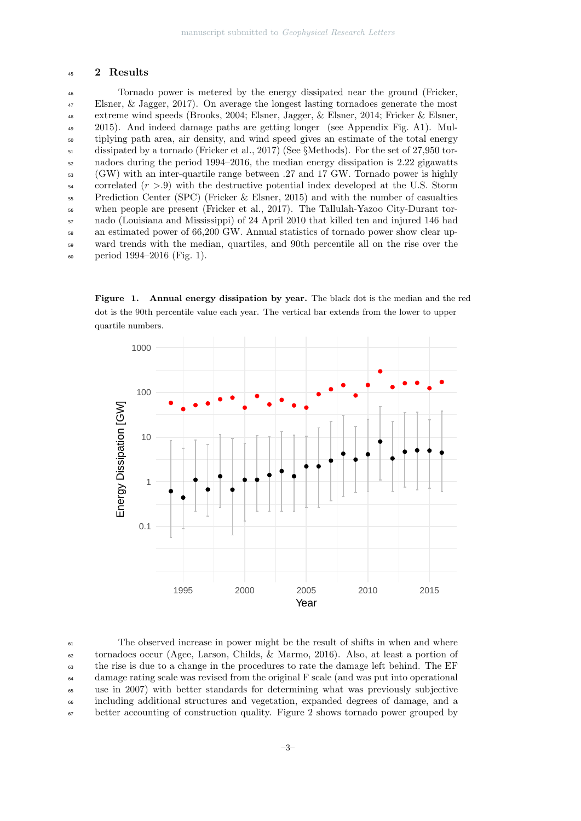# 2 Results

 Tornado power is metered by the energy dissipated near the ground (Fricker, Elsner, & Jagger, 2017). On average the longest lasting tornadoes generate the most extreme wind speeds (Brooks, 2004; Elsner, Jagger, & Elsner, 2014; Fricker & Elsner, 2015). And indeed damage paths are getting longer (see Appendix Fig. A1). Mul- tiplying path area, air density, and wind speed gives an estimate of the total energy dissipated by a tornado (Fricker et al., 2017) (See §Methods). For the set of 27,950 tor- nadoes during the period 1994–2016, the median energy dissipation is 2.22 gigawatts (GW) with an inter-quartile range between .27 and 17 GW. Tornado power is highly  $_{54}$  correlated  $(r > .9)$  with the destructive potential index developed at the U.S. Storm Prediction Center (SPC) (Fricker & Elsner, 2015) and with the number of casualties when people are present (Fricker et al., 2017). The Tallulah-Yazoo City-Durant tor- nado (Louisiana and Mississippi) of 24 April 2010 that killed ten and injured 146 had an estimated power of 66,200 GW. Annual statistics of tornado power show clear up- ward trends with the median, quartiles, and 90th percentile all on the rise over the period 1994–2016 (Fig. 1).

Figure 1. Annual energy dissipation by year. The black dot is the median and the red dot is the 90th percentile value each year. The vertical bar extends from the lower to upper quartile numbers.



 The observed increase in power might be the result of shifts in when and where  $\epsilon_2$  tornadoes occur (Agee, Larson, Childs, & Marmo, 2016). Also, at least a portion of the rise is due to a change in the procedures to rate the damage left behind. The EF damage rating scale was revised from the original F scale (and was put into operational use in 2007) with better standards for determining what was previously subjective including additional structures and vegetation, expanded degrees of damage, and a better accounting of construction quality. Figure 2 shows tornado power grouped by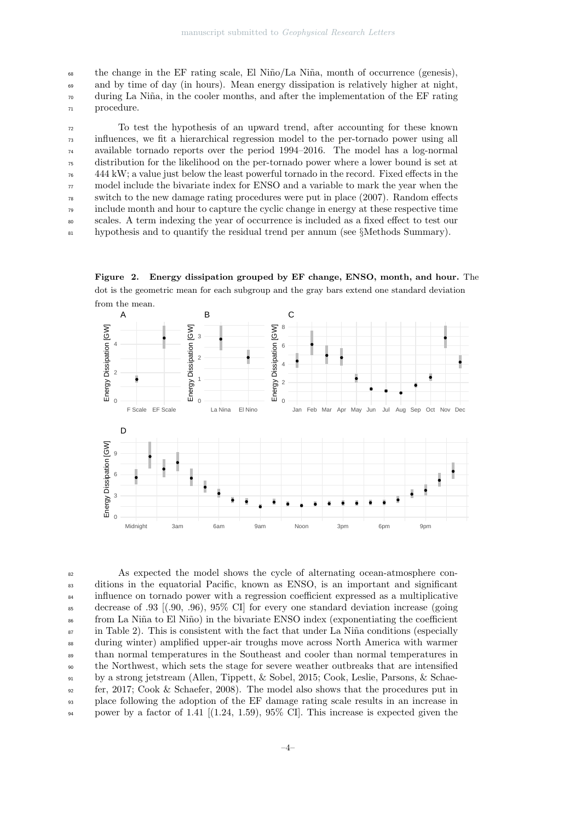$\epsilon_{68}$  the change in the EF rating scale, El Niño/La Niña, month of occurrence (genesis),

<sup>69</sup> and by time of day (in hours). Mean energy dissipation is relatively higher at night,  $\pi$ <sup>0</sup> during La Niña, in the cooler months, and after the implementation of the EF rating

<sup>71</sup> procedure.

 To test the hypothesis of an upward trend, after accounting for these known influences, we fit a hierarchical regression model to the per-tornado power using all available tornado reports over the period 1994–2016. The model has a log-normal distribution for the likelihood on the per-tornado power where a lower bound is set at 444 kW; a value just below the least powerful tornado in the record. Fixed effects in the  $\pi$  model include the bivariate index for ENSO and a variable to mark the year when the  $\frac{78}{78}$  switch to the new damage rating procedures were put in place (2007). Random effects include month and hour to capture the cyclic change in energy at these respective time scales. A term indexing the year of occurrence is included as a fixed effect to test our hypothesis and to quantify the residual trend per annum (see §Methods Summary).

Figure 2. Energy dissipation grouped by EF change, ENSO, month, and hour. The dot is the geometric mean for each subgroup and the gray bars extend one standard deviation from the mean.



 As expected the model shows the cycle of alternating ocean-atmosphere con- ditions in the equatorial Pacific, known as ENSO, is an important and significant <sup>84</sup> influence on tornado power with a regression coefficient expressed as a multiplicative <sup>85</sup> decrease of .93  $[(.90, .96), 95\% \text{ CI}]$  for every one standard deviation increase (going <sup>86</sup> from La Niña to El Niño) in the bivariate ENSO index (exponentiating the coefficient  $\frac{87}{100}$  in Table 2). This is consistent with the fact that under La Niña conditions (especially during winter) amplified upper-air troughs move across North America with warmer than normal temperatures in the Southeast and cooler than normal temperatures in the Northwest, which sets the stage for severe weather outbreaks that are intensified by a strong jetstream (Allen, Tippett, & Sobel, 2015; Cook, Leslie, Parsons, & Schae- $_{92}$  fer, 2017; Cook & Schaefer, 2008). The model also shows that the procedures put in place following the adoption of the EF damage rating scale results in an increase in power by a factor of 1.41 [(1.24, 1.59), 95% CI]. This increase is expected given the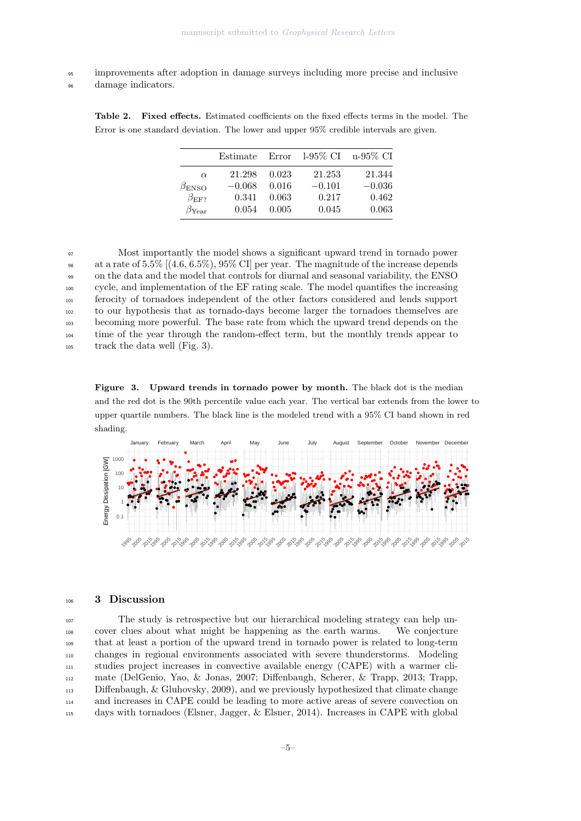- improvements after adoption in damage surveys including more precise and inclusive
- damage indicators.

Table 2. Fixed effects. Estimated coefficients on the fixed effects terms in the model. The Error is one standard deviation. The lower and upper 95% credible intervals are given.

|                       | Estimate | Error | 1-95% CI | u-95% CI |
|-----------------------|----------|-------|----------|----------|
| $\alpha$              | 21.298   | 0.023 | 21.253   | 21.344   |
| $\beta_{ENSO}$        | $-0.068$ | 0.016 | $-0.101$ | $-0.036$ |
| $\beta_{\rm EF?}$     | 0.341    | 0.063 | 0.217    | 0.462    |
| $\beta_{\text{Year}}$ | 0.054    | 0.005 | 0.045    | 0.063    |

 Most importantly the model shows a significant upward trend in tornado power at a rate of 5.5% [(4.6, 6.5%), 95% CI] per year. The magnitude of the increase depends on the data and the model that controls for diurnal and seasonal variability, the ENSO cycle, and implementation of the EF rating scale. The model quantifies the increasing ferocity of tornadoes independent of the other factors considered and lends support to our hypothesis that as tornado-days become larger the tornadoes themselves are becoming more powerful. The base rate from which the upward trend depends on the time of the year through the random-effect term, but the monthly trends appear to track the data well (Fig. 3).

Figure 3. Upward trends in tornado power by month. The black dot is the median and the red dot is the 90th percentile value each year. The vertical bar extends from the lower to upper quartile numbers. The black line is the modeled trend with a 95% CI band shown in red shading.



#### 3 Discussion

 The study is retrospective but our hierarchical modeling strategy can help un- cover clues about what might be happening as the earth warms. We conjecture that at least a portion of the upward trend in tornado power is related to long-term changes in regional environments associated with severe thunderstorms. Modeling studies project increases in convective available energy (CAPE) with a warmer cli- mate (DelGenio, Yao, & Jonas, 2007; Diffenbaugh, Scherer, & Trapp, 2013; Trapp, Diffenbaugh, & Gluhovsky, 2009), and we previously hypothesized that climate change and increases in CAPE could be leading to more active areas of severe convection on days with tornadoes (Elsner, Jagger, & Elsner, 2014). Increases in CAPE with global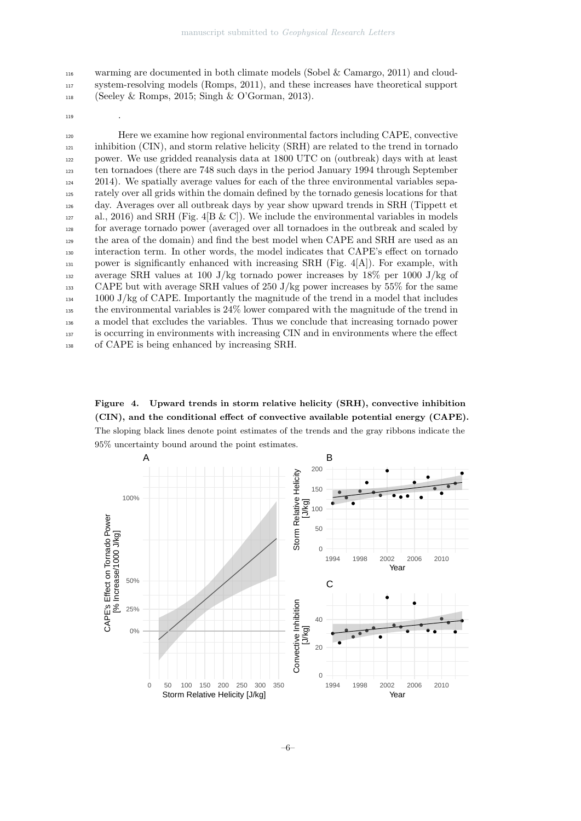warming are documented in both climate models (Sobel & Camargo, 2011) and cloud-<sup>117</sup> system-resolving models (Romps, 2011), and these increases have theoretical support <sup>118</sup> (Seeley & Romps, 2015; Singh & O'Gorman, 2013).

<sup>119</sup> .

 Here we examine how regional environmental factors including CAPE, convective inhibition (CIN), and storm relative helicity (SRH) are related to the trend in tornado power. We use gridded reanalysis data at 1800 UTC on (outbreak) days with at least ten tornadoes (there are 748 such days in the period January 1994 through September 2014). We spatially average values for each of the three environmental variables sepa- rately over all grids within the domain defined by the tornado genesis locations for that day. Averages over all outbreak days by year show upward trends in SRH (Tippett et 127 al., 2016) and SRH (Fig. 4[B & C]). We include the environmental variables in models for average tornado power (averaged over all tornadoes in the outbreak and scaled by the area of the domain) and find the best model when CAPE and SRH are used as an interaction term. In other words, the model indicates that CAPE's effect on tornado power is significantly enhanced with increasing SRH (Fig. 4[A]). For example, with 132 average SRH values at 100 J/kg tornado power increases by 18% per 1000 J/kg of CAPE but with average SRH values of 250 J/kg power increases by 55% for the same  $1000 \text{ J/kg of CAPE. Importantly the magnitude of the trend in a model that includes }$  the environmental variables is 24% lower compared with the magnitude of the trend in a model that excludes the variables. Thus we conclude that increasing tornado power is occurring in environments with increasing CIN and in environments where the effect of CAPE is being enhanced by increasing SRH.

Figure 4. Upward trends in storm relative helicity (SRH), convective inhibition (CIN), and the conditional effect of convective available potential energy (CAPE). The sloping black lines denote point estimates of the trends and the gray ribbons indicate the 95% uncertainty bound around the point estimates.

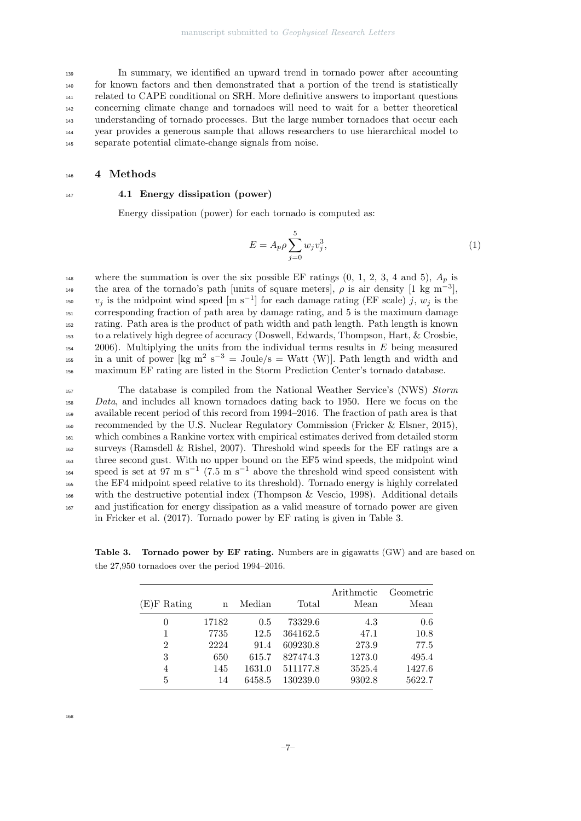In summary, we identified an upward trend in tornado power after accounting for known factors and then demonstrated that a portion of the trend is statistically related to CAPE conditional on SRH. More definitive answers to important questions concerning climate change and tornadoes will need to wait for a better theoretical understanding of tornado processes. But the large number tornadoes that occur each year provides a generous sample that allows researchers to use hierarchical model to separate potential climate-change signals from noise.

#### <sup>146</sup> 4 Methods

## <sup>147</sup> 4.1 Energy dissipation (power)

Energy dissipation (power) for each tornado is computed as:

$$
E = A_p \rho \sum_{j=0}^{5} w_j v_j^3,
$$
 (1)

<sup>148</sup> where the summation is over the six possible EF ratings  $(0, 1, 2, 3, 4 \text{ and } 5)$ ,  $A_p$  is the area of the tornado's path [units of square meters],  $\rho$  is air density [1 kg m<sup>-3</sup>], <sup>150</sup> v<sub>j</sub> is the midpoint wind speed [m s<sup>-1</sup>] for each damage rating (EF scale) j,  $w_j$  is the <sup>151</sup> corresponding fraction of path area by damage rating, and 5 is the maximum damage <sup>152</sup> rating. Path area is the product of path width and path length. Path length is known <sup>153</sup> to a relatively high degree of accuracy (Doswell, Edwards, Thompson, Hart, & Crosbie,  $154$  2006). Multiplying the units from the individual terms results in E being measured <sup>155</sup> in a unit of power [kg m<sup>2</sup> s<sup>-3</sup> = Joule/s = Watt (W)]. Path length and width and <sup>156</sup> maximum EF rating are listed in the Storm Prediction Center's tornado database.

 The database is compiled from the National Weather Service's (NWS) Storm Data, and includes all known tornadoes dating back to 1950. Here we focus on the available recent period of this record from 1994–2016. The fraction of path area is that recommended by the U.S. Nuclear Regulatory Commission (Fricker & Elsner, 2015), which combines a Rankine vortex with empirical estimates derived from detailed storm surveys (Ramsdell & Rishel, 2007). Threshold wind speeds for the EF ratings are a three second gust. With no upper bound on the EF5 wind speeds, the midpoint wind speed is set at 97 m s<sup>-1</sup> (7.5 m s<sup>-1</sup> above the threshold wind speed consistent with the EF4 midpoint speed relative to its threshold). Tornado energy is highly correlated with the destructive potential index (Thompson & Vescio, 1998). Additional details and justification for energy dissipation as a valid measure of tornado power are given in Fricker et al. (2017). Tornado power by EF rating is given in Table 3.

Table 3. Tornado power by EF rating. Numbers are in gigawatts (GW) and are based on the 27,950 tornadoes over the period 1994–2016.

| $(E)$ F Rating   | n     | Median | Total    | Arithmetic<br>Mean | Geometric<br>Mean |
|------------------|-------|--------|----------|--------------------|-------------------|
| $\left( \right)$ | 17182 | 0.5    | 73329.6  | 4.3                | 0.6               |
| 1                | 7735  | 12.5   | 364162.5 | 47.1               | 10.8              |
| 2                | 2224  | 91.4   | 609230.8 | 273.9              | 77.5              |
| 3                | 650   | 615.7  | 827474.3 | 1273.0             | 495.4             |
| 4                | 145   | 1631.0 | 511177.8 | 3525.4             | 1427.6            |
| 5                | 14    | 6458.5 | 130239.0 | 9302.8             | 5622.7            |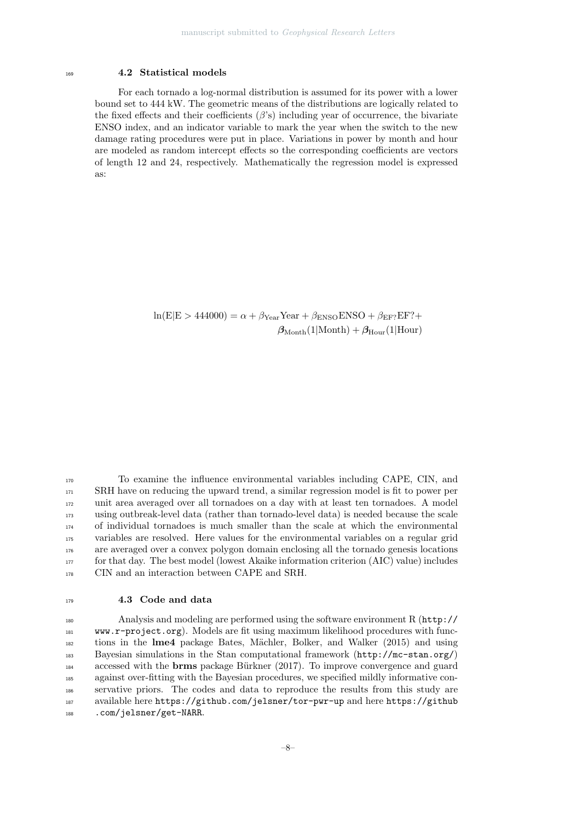## <sup>169</sup> 4.2 Statistical models

For each tornado a log-normal distribution is assumed for its power with a lower bound set to 444 kW. The geometric means of the distributions are logically related to the fixed effects and their coefficients  $(\beta)$  including year of occurrence, the bivariate ENSO index, and an indicator variable to mark the year when the switch to the new damage rating procedures were put in place. Variations in power by month and hour are modeled as random intercept effects so the corresponding coefficients are vectors of length 12 and 24, respectively. Mathematically the regression model is expressed as:

> $ln(E|E > 444000) = \alpha + \beta_{Year}$ Year +  $\beta_{ENSO}$ ENSO +  $\beta_{EF}$ ?EF?+  $\beta_{\text{Month}}(1|\text{Month}) + \beta_{\text{Hour}}(1|\text{Hour})$

 To examine the influence environmental variables including CAPE, CIN, and SRH have on reducing the upward trend, a similar regression model is fit to power per unit area averaged over all tornadoes on a day with at least ten tornadoes. A model using outbreak-level data (rather than tornado-level data) is needed because the scale of individual tornadoes is much smaller than the scale at which the environmental variables are resolved. Here values for the environmental variables on a regular grid are averaged over a convex polygon domain enclosing all the tornado genesis locations for that day. The best model (lowest Akaike information criterion (AIC) value) includes <sup>178</sup> CIN and an interaction between CAPE and SRH.

179 4.3 Code and data

 Analysis and modeling are performed using the software environment R (http:// www.r-project.org). Models are fit using maximum likelihood procedures with func- tions in the lme4 package Bates, M¨achler, Bolker, and Walker (2015) and using Bayesian simulations in the Stan computational framework (http://mc-stan.org/) accessed with the **brms** package Bürkner (2017). To improve convergence and guard against over-fitting with the Bayesian procedures, we specified mildly informative con- servative priors. The codes and data to reproduce the results from this study are available here https://github.com/jelsner/tor-pwr-up and here https://github .com/jelsner/get-NARR.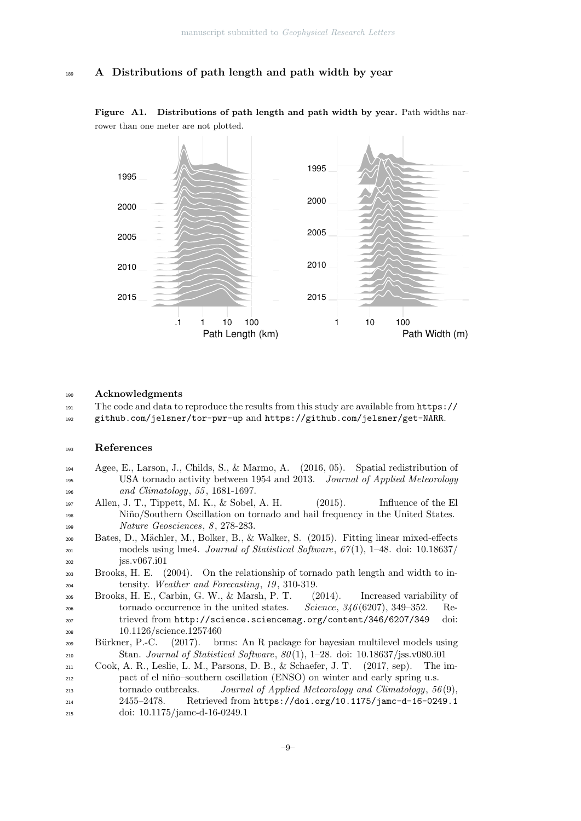# 189 A Distributions of path length and path width by year



Figure A1. Distributions of path length and path width by year. Path widths narrower than one meter are not plotted.

### Acknowledgments

- The code and data to reproduce the results from this study are available from https://
- github.com/jelsner/tor-pwr-up and https://github.com/jelsner/get-NARR.

# References

- Agee, E., Larson, J., Childs, S., & Marmo, A. (2016, 05). Spatial redistribution of USA tornado activity between 1954 and 2013. Journal of Applied Meteorology and Climatology, 55, 1681-1697.
- Allen, J. T., Tippett, M. K., & Sobel, A. H. (2015). Influence of the El Ni˜no/Southern Oscillation on tornado and hail frequency in the United States. **Nature Geosciences**, 8, 278-283.
- Bates, D., M¨achler, M., Bolker, B., & Walker, S. (2015). Fitting linear mixed-effects models using lme4. Journal of Statistical Software, 67 (1), 1–48. doi: 10.18637/ jss.v067.i01
- Brooks, H. E. (2004). On the relationship of tornado path length and width to in-tensity. Weather and Forecasting, 19 , 310-319.
- Brooks, H. E., Carbin, G. W., & Marsh, P. T. (2014). Increased variability of tornado occurrence in the united states.  $Science$ ,  $346(6207)$ ,  $349-352$ . Re- trieved from http://science.sciencemag.org/content/346/6207/349 doi: 10.1126/science.1257460
- <sup>209</sup> Bürkner, P.-C. (2017). brms: An R package for bayesian multilevel models using Stan. Journal of Statistical Software, 80 (1), 1–28. doi: 10.18637/jss.v080.i01
- Cook, A. R., Leslie, L. M., Parsons, D. B., & Schaefer, J. T. (2017, sep). The im-<sub>212</sub> pact of el niño–southern oscillation (ENSO) on winter and early spring u.s. tornado outbreaks. Journal of Applied Meteorology and Climatology, 56 (9), 2455–2478. Retrieved from https://doi.org/10.1175/jamc-d-16-0249.1 doi: 10.1175/jamc-d-16-0249.1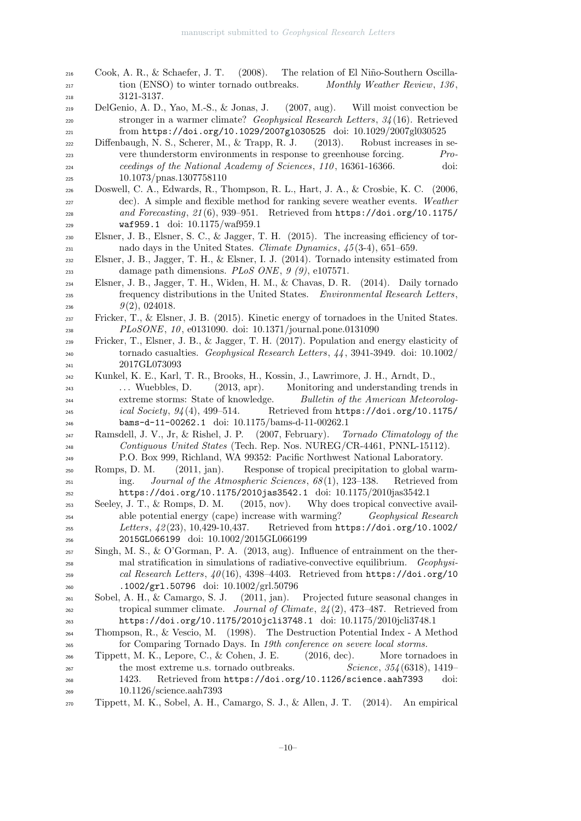| 216        | Cook, A. R., & Schaefer, J. T. (2008). The relation of El Niño-Southern Oscilla-                                                                                                 |
|------------|----------------------------------------------------------------------------------------------------------------------------------------------------------------------------------|
| 217        | tion (ENSO) to winter tornado outbreaks.<br>Monthly Weather Review, 136,                                                                                                         |
| 218        | 3121-3137.                                                                                                                                                                       |
| 219        | DelGenio, A. D., Yao, M.-S., & Jonas, J. (2007, aug). Will moist convection be                                                                                                   |
| 220        | stronger in a warmer climate? Geophysical Research Letters, 34(16). Retrieved                                                                                                    |
| 221        | from https://doi.org/10.1029/2007g1030525 doi: 10.1029/2007gl030525                                                                                                              |
| 222        | Diffenbaugh, N. S., Scherer, M., & Trapp, R. J. (2013).<br>Robust increases in se-                                                                                               |
| 223        | vere thunderstorm environments in response to greenhouse forcing.<br>$Pro-$                                                                                                      |
| 224        | ceedings of the National Academy of Sciences, 110, 16361-16366.<br>doi:                                                                                                          |
| 225        | 10.1073/pnas.1307758110                                                                                                                                                          |
| 226        | Doswell, C. A., Edwards, R., Thompson, R. L., Hart, J. A., & Crosbie, K. C. (2006,                                                                                               |
| 227        | dec). A simple and flexible method for ranking severe weather events. Weather                                                                                                    |
| 228        | and Forecasting, 21(6), 939-951. Retrieved from https://doi.org/10.1175/                                                                                                         |
| 229        | waf959.1 doi: 10.1175/waf959.1                                                                                                                                                   |
| 230        | Elsner, J. B., Elsner, S. C., & Jagger, T. H. (2015). The increasing efficiency of tor-                                                                                          |
| 231        | nado days in the United States. Climate Dynamics, $\langle 45(3-4), 651-659 \rangle$ .                                                                                           |
| 232        | Elsner, J. B., Jagger, T. H., & Elsner, I. J. (2014). Tornado intensity estimated from                                                                                           |
| 233        | damage path dimensions. PLoS ONE, $9(9)$ , e107571.                                                                                                                              |
| 234        | Elsner, J. B., Jagger, T. H., Widen, H. M., & Chavas, D. R. (2014). Daily tornado                                                                                                |
| 235        | frequency distributions in the United States. Environmental Research Letters,                                                                                                    |
| 236        | $9(2)$ , 024018.<br>Fricker, T., & Elsner, J. B. (2015). Kinetic energy of tornadoes in the United States.                                                                       |
| 237        | PLoSONE, 10, e0131090. doi: 10.1371/journal.pone.0131090                                                                                                                         |
| 238<br>239 | Fricker, T., Elsner, J. B., & Jagger, T. H. (2017). Population and energy elasticity of                                                                                          |
| 240        | tornado casualties. Geophysical Research Letters, $44$ , 3941-3949. doi: 10.1002/                                                                                                |
| 241        | 2017GL073093                                                                                                                                                                     |
| 242        | Kunkel, K. E., Karl, T. R., Brooks, H., Kossin, J., Lawrimore, J. H., Arndt, D.,                                                                                                 |
| 243        | $(2013, \text{ apr}).$<br>Monitoring and understanding trends in<br>$\ldots$ Wuebbles, D.                                                                                        |
| 244        | extreme storms: State of knowledge.<br>Bulletin of the American Meteorolog-                                                                                                      |
| 245        | Retrieved from https://doi.org/10.1175/<br><i>ical Society</i> , $94(4)$ , 499-514.                                                                                              |
| 246        | bams-d-11-00262.1 doi: 10.1175/bams-d-11-00262.1                                                                                                                                 |
| 247        | Ramsdell, J. V., Jr, & Rishel, J. P. (2007, February). Tornado Climatology of the                                                                                                |
| 248        | Contiguous United States (Tech. Rep. Nos. NUREG/CR-4461, PNNL-15112).                                                                                                            |
| 249        | P.O. Box 999, Richland, WA 99352: Pacific Northwest National Laboratory.                                                                                                         |
| 250        | Response of tropical precipitation to global warm-<br>Romps, D. M.<br>$(2011, \text{jan}).$                                                                                      |
| 251        | Journal of the Atmospheric Sciences, $68(1)$ , 123-138.<br>Retrieved from<br>ing.                                                                                                |
| 252        | https://doi.org/10.1175/2010jas3542.1 doi: 10.1175/2010jas3542.1                                                                                                                 |
| 253        | Seeley, J. T., & Romps, D. M. (2015, nov). Why does tropical convective avail-                                                                                                   |
| 254        | able potential energy (cape) increase with warming?<br>Geophysical Research                                                                                                      |
| 255        | Letters, $42(23)$ , 10,429-10,437.<br>Retrieved from https://doi.org/10.1002/                                                                                                    |
| 256        | 2015GL066199 doi: 10.1002/2015GL066199                                                                                                                                           |
| 257        | Singh, M. S., & O'Gorman, P. A. $(2013, \text{aug})$ . Influence of entrainment on the ther-<br>mal stratification in simulations of radiative-convective equilibrium. Geophysi- |
| 258        | cal Research Letters, $40(16)$ , 4398-4403. Retrieved from https://doi.org/10                                                                                                    |
| 259        | .1002/grl.50796 doi: 10.1002/grl.50796                                                                                                                                           |
| 260<br>261 | Sobel, A. H., & Camargo, S. J. (2011, jan).<br>Projected future seasonal changes in                                                                                              |
| 262        | tropical summer climate. Journal of Climate, $24(2)$ , 473-487. Retrieved from                                                                                                   |
| 263        | https://doi.org/10.1175/2010jcli3748.1 doi: 10.1175/2010jcli3748.1                                                                                                               |
| 264        | Thompson, R., & Vescio, M. (1998). The Destruction Potential Index - A Method                                                                                                    |
| 265        | for Comparing Tornado Days. In 19th conference on severe local storms.                                                                                                           |
| 266        | Tippett, M. K., Lepore, C., & Cohen, J. E.<br>$(2016, \text{ dec}).$<br>More tornadoes in                                                                                        |
| 267        | the most extreme u.s. tornado outbreaks.<br>Science, $354(6318)$ , 1419–                                                                                                         |
| 268        | Retrieved from https://doi.org/10.1126/science.aah7393<br>1423.<br>doi:                                                                                                          |
| 269        | $10.1126$ /science.aah $7393$                                                                                                                                                    |
| 270        | Tippett, M. K., Sobel, A. H., Camargo, S. J., & Allen, J. T.<br>(2014).<br>An empirical                                                                                          |